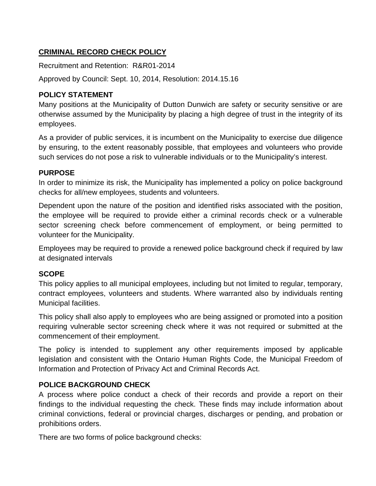# **CRIMINAL RECORD CHECK POLICY**

Recruitment and Retention: R&R01-2014

Approved by Council: Sept. 10, 2014, Resolution: 2014.15.16

### **POLICY STATEMENT**

Many positions at the Municipality of Dutton Dunwich are safety or security sensitive or are otherwise assumed by the Municipality by placing a high degree of trust in the integrity of its employees.

As a provider of public services, it is incumbent on the Municipality to exercise due diligence by ensuring, to the extent reasonably possible, that employees and volunteers who provide such services do not pose a risk to vulnerable individuals or to the Municipality's interest.

#### **PURPOSE**

In order to minimize its risk, the Municipality has implemented a policy on police background checks for all/new employees, students and volunteers.

Dependent upon the nature of the position and identified risks associated with the position, the employee will be required to provide either a criminal records check or a vulnerable sector screening check before commencement of employment, or being permitted to volunteer for the Municipality.

Employees may be required to provide a renewed police background check if required by law at designated intervals

#### **SCOPE**

This policy applies to all municipal employees, including but not limited to regular, temporary, contract employees, volunteers and students. Where warranted also by individuals renting Municipal facilities.

This policy shall also apply to employees who are being assigned or promoted into a position requiring vulnerable sector screening check where it was not required or submitted at the commencement of their employment.

The policy is intended to supplement any other requirements imposed by applicable legislation and consistent with the Ontario Human Rights Code, the Municipal Freedom of Information and Protection of Privacy Act and Criminal Records Act.

#### **POLICE BACKGROUND CHECK**

A process where police conduct a check of their records and provide a report on their findings to the individual requesting the check. These finds may include information about criminal convictions, federal or provincial charges, discharges or pending, and probation or prohibitions orders.

There are two forms of police background checks: